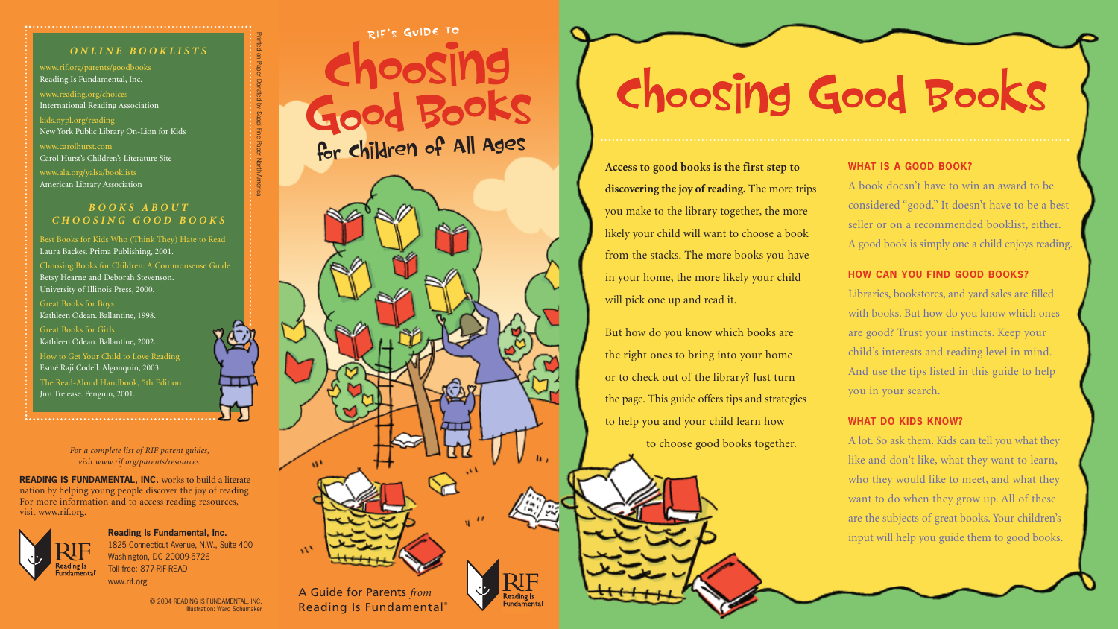**Access to good books is the first step to discovering the joy of reading.** The more trips you make to the library together, the more likely your child will want to choose a book from the stacks. The more books you have in your home, the more likely your child will pick one up and read it.

But how do you know which books are the right ones to bring into your home or to check out of the library? Just turn the page. This guide offers tips and strategies to help you and your child learn how to choose good books together.

www.rif.org/parents/goodbooks Reading Is Fundamental, Inc.

www.reading.org/choices International Reading Association

kids.nypl.org/reading New York Public Library On-Lion for Kids

www.carolhurst.com Carol Hurst's Children's Literature Site

www.ala.org/yalsa/booklists American Library Association

### *ONLINE BOOKLISTS*

Best Books for Kids Who (Think They) Hate to Read Laura Backes. Prima Publishing, 2001.

Choosing Books for Children: A Commonsense Guide Betsy Hearne and Deborah Stevenson. University of Illinois Press, 2000.

Great Books for Boys Kathleen Odean. Ballantine, 1998.

Great Books for Girls Kathleen Odean. Ballantine, 2002.

How to Get Your Child to Love Reading Esmé Raji Codell. Algonquin, 2003.

The Read-Aloud Handbook, 5th Edition Jim Trelease. Penguin, 2001.

> A Guide for Parents *from* Reading Is Fundamental®

w

### *BOOKS ABOUT CHOOSING GOOD BOOKS*

# **WHAT IS A GOOD BOOK?**

A book doesn't have to win an award to be considered "good." It doesn't have to be a best seller or on a recommended booklist, either. A good book is simply one a child enjoys reading.

## **HOW CAN YOU FIND GOOD BOOKS?**

Libraries, bookstores, and yard sales are filled with books. But how do you know which ones are good? Trust your instincts. Keep your child's interests and reading level in mind. And use the tips listed in this guide to help you in your search.

### **WHAT DO KIDS KNOW?**

A lot. So ask them. Kids can tell you what they like and don't like, what they want to learn, who they would like to meet, and what they want to do when they grow up. All of these are the subjects of great books. Your children's input will help you guide them to good books.

**READING IS FUNDAMENTAL, INC.** works to build a literate nation by helping young people discover the joy of reading. For more information and to access reading resources, visit www.rif.org.



**Reading Is Fundamental, Inc.**  1825 Connecticut Avenue, N.W., Suite 400 Washington, DC 20009-5726 Toll free: 877-RIF-READ www.rif.org

> © 2004 READING IS FUNDAMENTAL, INC. Illustration: Ward Schumaker

*For a complete list of RIF parent guides, visit www.rif.org/parents/resources.*

**Choosing Good BooK<sup>s</sup> for Children of All Ages RIF' <sup>s</sup> GUIDE TO**

**Choosing Good Books**

Printed on Paper Donated by Sappi Fine Paper North America

Paper North